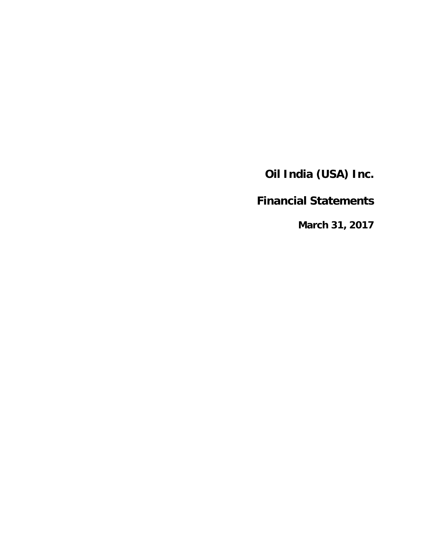**Financial Statements**

**March 31, 2017**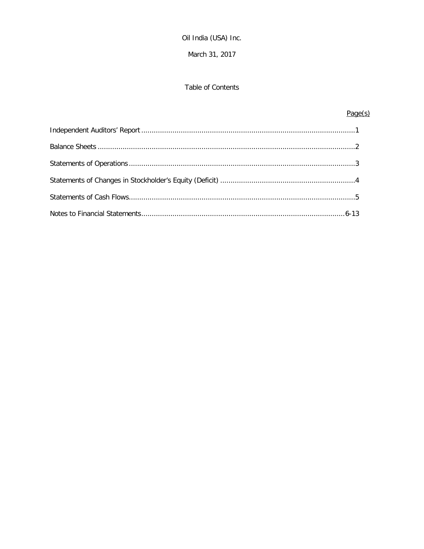March 31, 2017

## Table of Contents

# Page(s)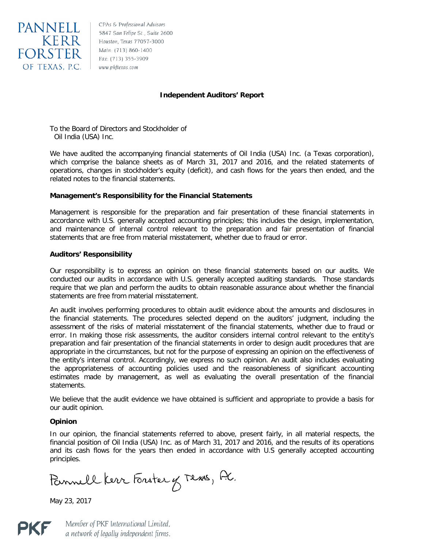

Main: (713) 860-1400<br>Fax: (713) 355-3909

## **Independent Auditors' Report**

To the Board of Directors and Stockholder of Oil India (USA) Inc.

We have audited the accompanying financial statements of Oil India (USA) Inc. (a Texas corporation), which comprise the balance sheets as of March 31, 2017 and 2016, and the related statements of operations, changes in stockholder's equity (deficit), and cash flows for the years then ended, and the related notes to the financial statements.

## **Management's Responsibility for the Financial Statements**

Management is responsible for the preparation and fair presentation of these financial statements in accordance with U.S. generally accepted accounting principles; this includes the design, implementation, and maintenance of internal control relevant to the preparation and fair presentation of financial statements that are free from material misstatement, whether due to fraud or error.

## **Auditors' Responsibility**

Our responsibility is to express an opinion on these financial statements based on our audits. We conducted our audits in accordance with U.S. generally accepted auditing standards. Those standards require that we plan and perform the audits to obtain reasonable assurance about whether the financial statements are free from material misstatement.

An audit involves performing procedures to obtain audit evidence about the amounts and disclosures in the financial statements. The procedures selected depend on the auditors' judgment, including the assessment of the risks of material misstatement of the financial statements, whether due to fraud or error. In making those risk assessments, the auditor considers internal control relevant to the entity's preparation and fair presentation of the financial statements in order to design audit procedures that are appropriate in the circumstances, but not for the purpose of expressing an opinion on the effectiveness of the entity's internal control. Accordingly, we express no such opinion. An audit also includes evaluating the appropriateness of accounting policies used and the reasonableness of significant accounting estimates made by management, as well as evaluating the overall presentation of the financial statements.

We believe that the audit evidence we have obtained is sufficient and appropriate to provide a basis for our audit opinion.

## **Opinion**

In our opinion, the financial statements referred to above, present fairly, in all material respects, the financial position of Oil India (USA) Inc. as of March 31, 2017 and 2016, and the results of its operations and its cash flows for the years then ended in accordance with U.S generally accepted accounting principles.

Pannell Kerr Forster y Texas, A.C.

May 23, 2017



Member of PKF International Limited, a network of legally independent firms.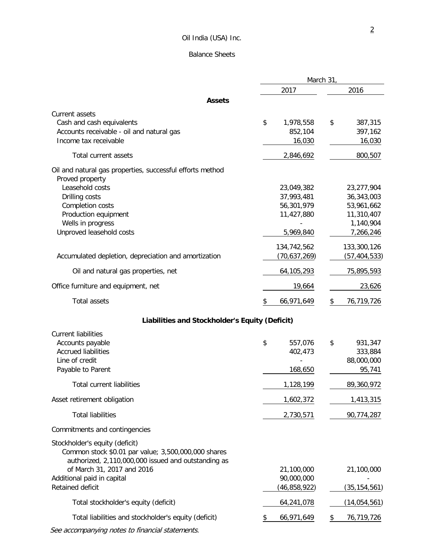## Balance Sheets

|                                                                                                                                              | March 31,        |                  |
|----------------------------------------------------------------------------------------------------------------------------------------------|------------------|------------------|
|                                                                                                                                              | 2017             | 2016             |
| <b>Assets</b>                                                                                                                                |                  |                  |
| Current assets                                                                                                                               |                  |                  |
| Cash and cash equivalents                                                                                                                    | \$<br>1,978,558  | \$<br>387,315    |
| Accounts receivable - oil and natural gas                                                                                                    | 852,104          | 397,162          |
| Income tax receivable                                                                                                                        | 16,030           | 16,030           |
| Total current assets                                                                                                                         | 2,846,692        | 800,507          |
| Oil and natural gas properties, successful efforts method                                                                                    |                  |                  |
| Proved property<br>Leasehold costs                                                                                                           | 23,049,382       | 23,277,904       |
|                                                                                                                                              | 37,993,481       | 36,343,003       |
| Drilling costs                                                                                                                               | 56,301,979       |                  |
| Completion costs                                                                                                                             |                  | 53,961,662       |
| Production equipment                                                                                                                         | 11,427,880       | 11,310,407       |
| Wells in progress                                                                                                                            |                  | 1,140,904        |
| Unproved leasehold costs                                                                                                                     | 5,969,840        | 7,266,246        |
|                                                                                                                                              | 134,742,562      | 133,300,126      |
| Accumulated depletion, depreciation and amortization                                                                                         | (70,637,269)     | (57, 404, 533)   |
| Oil and natural gas properties, net                                                                                                          | 64, 105, 293     | 75,895,593       |
| Office furniture and equipment, net                                                                                                          | 19,664           | 23,626           |
| <b>Total assets</b>                                                                                                                          | \$<br>66,971,649 | \$<br>76,719,726 |
| Liabilities and Stockholder's Equity (Deficit)                                                                                               |                  |                  |
| <b>Current liabilities</b>                                                                                                                   |                  |                  |
| Accounts payable                                                                                                                             | \$<br>557,076    | \$<br>931,347    |
| <b>Accrued liabilities</b>                                                                                                                   | 402,473          | 333,884          |
| Line of credit                                                                                                                               |                  | 88,000,000       |
| Payable to Parent                                                                                                                            | 168,650          | 95,741           |
| <b>Total current liabilities</b>                                                                                                             | 1,128,199        | 89,360,972       |
|                                                                                                                                              |                  |                  |
| Asset retirement obligation                                                                                                                  | 1,602,372        | 1,413,315        |
| <b>Total liabilities</b>                                                                                                                     | 2,730,571        | 90,774,287       |
| Commitments and contingencies                                                                                                                |                  |                  |
| Stockholder's equity (deficit)<br>Common stock \$0.01 par value; 3,500,000,000 shares<br>authorized, 2,110,000,000 issued and outstanding as |                  |                  |
| of March 31, 2017 and 2016                                                                                                                   | 21,100,000       | 21,100,000       |
| Additional paid in capital                                                                                                                   | 90,000,000       |                  |
| Retained deficit                                                                                                                             | (46,858,922)     | (35, 154, 561)   |
| Total stockholder's equity (deficit)                                                                                                         | 64,241,078       | (14, 054, 561)   |
| Total liabilities and stockholder's equity (deficit)                                                                                         | 66,971,649<br>\$ | 76,719,726<br>\$ |
| See accompanying notes to financial statements.                                                                                              |                  |                  |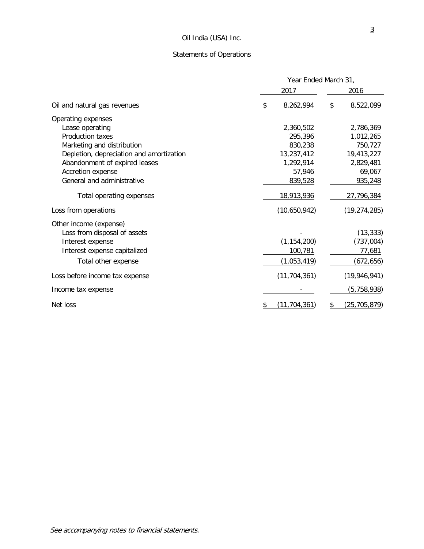# Statements of Operations

|                                          | Year Ended March 31, |                |    |                |  |  |
|------------------------------------------|----------------------|----------------|----|----------------|--|--|
|                                          | 2017                 |                |    | 2016           |  |  |
| Oil and natural gas revenues             | \$                   | 8,262,994      | \$ | 8,522,099      |  |  |
| Operating expenses                       |                      |                |    |                |  |  |
| Lease operating                          |                      | 2,360,502      |    | 2,786,369      |  |  |
| Production taxes                         |                      | 295,396        |    | 1,012,265      |  |  |
| Marketing and distribution               |                      | 830,238        |    | 750,727        |  |  |
| Depletion, depreciation and amortization |                      | 13,237,412     |    | 19,413,227     |  |  |
| Abandonment of expired leases            |                      | 1,292,914      |    | 2,829,481      |  |  |
| Accretion expense                        |                      | 57,946         |    | 69,067         |  |  |
| General and administrative               |                      | 839,528        |    | 935,248        |  |  |
| Total operating expenses                 |                      | 18,913,936     |    | 27,796,384     |  |  |
| Loss from operations                     |                      | (10,650,942)   |    | (19, 274, 285) |  |  |
| Other income (expense)                   |                      |                |    |                |  |  |
| Loss from disposal of assets             |                      |                |    | (13, 333)      |  |  |
| Interest expense                         |                      | (1, 154, 200)  |    | (737,004)      |  |  |
| Interest expense capitalized             |                      | 100,781        |    | 77,681         |  |  |
| Total other expense                      |                      | (1,053,419)    |    | (672, 656)     |  |  |
| Loss before income tax expense           |                      | (11, 704, 361) |    | (19, 946, 941) |  |  |
| Income tax expense                       |                      |                |    | (5,758,938)    |  |  |
| Net loss                                 | \$                   | (11, 704, 361) |    | (25, 705, 879) |  |  |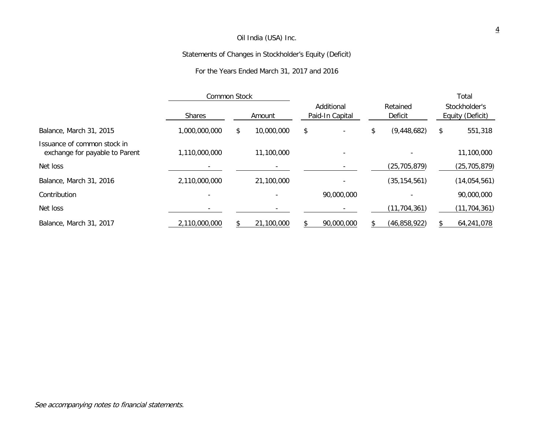# Statements of Changes in Stockholder's Equity (Deficit)

## For the Years Ended March 31, 2017 and 2016

|                                                               | <b>Common Stock</b> |    |            |                               | Total               |                                   |
|---------------------------------------------------------------|---------------------|----|------------|-------------------------------|---------------------|-----------------------------------|
|                                                               | <b>Shares</b>       |    | Amount     | Additional<br>Paid-In Capital | Retained<br>Deficit | Stockholder's<br>Equity (Deficit) |
| Balance, March 31, 2015                                       | 1,000,000,000       | \$ | 10,000,000 | \$                            | \$<br>(9, 448, 682) | \$<br>551,318                     |
| Issuance of common stock in<br>exchange for payable to Parent | 1,110,000,000       |    | 11,100,000 |                               |                     | 11,100,000                        |
| Net loss                                                      |                     |    |            |                               | (25, 705, 879)      | (25, 705, 879)                    |
| Balance, March 31, 2016                                       | 2,110,000,000       |    | 21,100,000 |                               | (35, 154, 561)      | (14,054,561)                      |
| Contribution                                                  |                     |    |            | 90,000,000                    |                     | 90,000,000                        |
| Net loss                                                      |                     |    |            |                               | (11, 704, 361)      | (11, 704, 361)                    |
| Balance, March 31, 2017                                       | 2,110,000,000       |    | 21,100,000 | 90,000,000                    | (46, 858, 922)      | 64,241,078                        |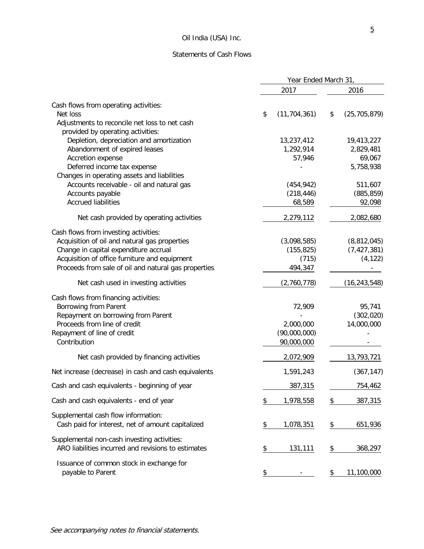## Statements of Cash Flows

|                                                                                                    | Year Ended March 31, |                |    |                |  |
|----------------------------------------------------------------------------------------------------|----------------------|----------------|----|----------------|--|
|                                                                                                    |                      | 2017           |    | 2016           |  |
| Cash flows from operating activities:                                                              |                      |                |    |                |  |
| Net loss                                                                                           | \$                   | (11, 704, 361) | \$ | (25, 705, 879) |  |
| Adjustments to reconcile net loss to net cash                                                      |                      |                |    |                |  |
| provided by operating activities:                                                                  |                      |                |    |                |  |
| Depletion, depreciation and amortization                                                           |                      | 13,237,412     |    | 19,413,227     |  |
| Abandonment of expired leases                                                                      |                      | 1,292,914      |    | 2,829,481      |  |
| Accretion expense                                                                                  |                      | 57,946         |    | 69,067         |  |
| Deferred income tax expense                                                                        |                      |                |    | 5,758,938      |  |
| Changes in operating assets and liabilities                                                        |                      |                |    |                |  |
| Accounts receivable - oil and natural gas                                                          |                      | (454, 942)     |    | 511,607        |  |
| Accounts payable                                                                                   |                      | (218, 446)     |    | (885, 859)     |  |
| <b>Accrued liabilities</b>                                                                         |                      | 68,589         |    | 92,098         |  |
| Net cash provided by operating activities                                                          |                      | 2,279,112      |    | 2,082,680      |  |
| Cash flows from investing activities:                                                              |                      |                |    |                |  |
| Acquisition of oil and natural gas properties                                                      |                      | (3,098,585)    |    | (8,812,045)    |  |
| Change in capital expenditure accrual                                                              |                      | (155, 825)     |    | (7, 427, 381)  |  |
| Acquisition of office furniture and equipment                                                      |                      | (715)          |    | (4, 122)       |  |
| Proceeds from sale of oil and natural gas properties                                               |                      | 494,347        |    |                |  |
| Net cash used in investing activities                                                              |                      | (2,760,778)    |    | (16, 243, 548) |  |
| Cash flows from financing activities:                                                              |                      |                |    |                |  |
| Borrowing from Parent                                                                              |                      | 72,909         |    | 95,741         |  |
| Repayment on borrowing from Parent                                                                 |                      |                |    | (302, 020)     |  |
| Proceeds from line of credit                                                                       |                      | 2,000,000      |    | 14,000,000     |  |
| Repayment of line of credit                                                                        |                      | (90,000,000)   |    |                |  |
| Contribution                                                                                       |                      | 90,000,000     |    |                |  |
| Net cash provided by financing activities                                                          |                      | 2,072,909      |    | 13,793,721     |  |
| Net increase (decrease) in cash and cash equivalents                                               |                      | 1,591,243      |    | (367, 147)     |  |
| Cash and cash equivalents - beginning of year                                                      |                      | 387,315        |    | 754,462        |  |
| Cash and cash equivalents - end of year                                                            | \$                   | 1,978,558      | \$ | 387,315        |  |
| Supplemental cash flow information:<br>Cash paid for interest, net of amount capitalized           | \$                   | 1,078,351      | \$ | 651,936        |  |
| Supplemental non-cash investing activities:<br>ARO liabilities incurred and revisions to estimates | \$                   | 131,111        | \$ | 368,297        |  |
| Issuance of common stock in exchange for<br>payable to Parent                                      | \$                   |                | \$ | 11,100,000     |  |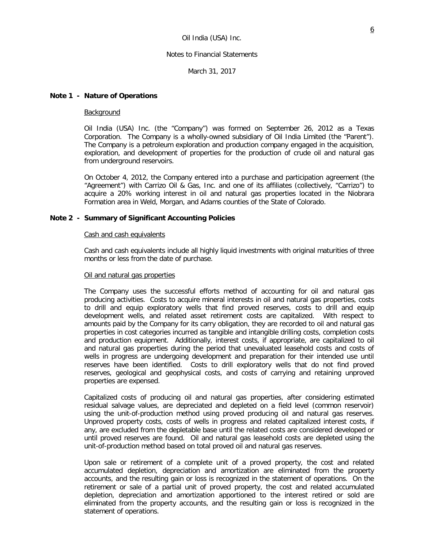#### Notes to Financial Statements

March 31, 2017

## **Note 1 - Nature of Operations**

#### **Background**

Oil India (USA) Inc. (the "Company") was formed on September 26, 2012 as a Texas Corporation. The Company is a wholly-owned subsidiary of Oil India Limited (the "Parent"). The Company is a petroleum exploration and production company engaged in the acquisition, exploration, and development of properties for the production of crude oil and natural gas from underground reservoirs.

On October 4, 2012, the Company entered into a purchase and participation agreement (the "Agreement") with Carrizo Oil & Gas, Inc. and one of its affiliates (collectively, "Carrizo") to acquire a 20% working interest in oil and natural gas properties located in the Niobrara Formation area in Weld, Morgan, and Adams counties of the State of Colorado.

#### **Note 2 - Summary of Significant Accounting Policies**

#### Cash and cash equivalents

Cash and cash equivalents include all highly liquid investments with original maturities of three months or less from the date of purchase.

#### Oil and natural gas properties

The Company uses the successful efforts method of accounting for oil and natural gas producing activities. Costs to acquire mineral interests in oil and natural gas properties, costs to drill and equip exploratory wells that find proved reserves, costs to drill and equip development wells, and related asset retirement costs are capitalized. With respect to amounts paid by the Company for its carry obligation, they are recorded to oil and natural gas properties in cost categories incurred as tangible and intangible drilling costs, completion costs and production equipment. Additionally, interest costs, if appropriate, are capitalized to oil and natural gas properties during the period that unevaluated leasehold costs and costs of wells in progress are undergoing development and preparation for their intended use until reserves have been identified. Costs to drill exploratory wells that do not find proved reserves, geological and geophysical costs, and costs of carrying and retaining unproved properties are expensed.

Capitalized costs of producing oil and natural gas properties, after considering estimated residual salvage values, are depreciated and depleted on a field level (common reservoir) using the unit-of-production method using proved producing oil and natural gas reserves. Unproved property costs, costs of wells in progress and related capitalized interest costs, if any, are excluded from the depletable base until the related costs are considered developed or until proved reserves are found. Oil and natural gas leasehold costs are depleted using the unit-of-production method based on total proved oil and natural gas reserves.

Upon sale or retirement of a complete unit of a proved property, the cost and related accumulated depletion, depreciation and amortization are eliminated from the property accounts, and the resulting gain or loss is recognized in the statement of operations. On the retirement or sale of a partial unit of proved property, the cost and related accumulated depletion, depreciation and amortization apportioned to the interest retired or sold are eliminated from the property accounts, and the resulting gain or loss is recognized in the statement of operations.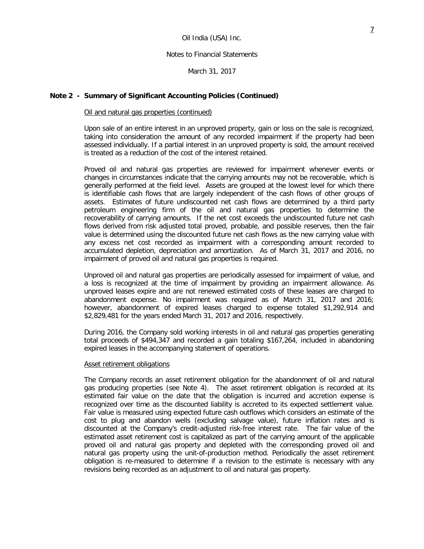March 31, 2017

## **Note 2 - Summary of Significant Accounting Policies (Continued)**

#### Oil and natural gas properties (continued)

Upon sale of an entire interest in an unproved property, gain or loss on the sale is recognized, taking into consideration the amount of any recorded impairment if the property had been assessed individually. If a partial interest in an unproved property is sold, the amount received is treated as a reduction of the cost of the interest retained.

Proved oil and natural gas properties are reviewed for impairment whenever events or changes in circumstances indicate that the carrying amounts may not be recoverable, which is generally performed at the field level. Assets are grouped at the lowest level for which there is identifiable cash flows that are largely independent of the cash flows of other groups of assets. Estimates of future undiscounted net cash flows are determined by a third party petroleum engineering firm of the oil and natural gas properties to determine the recoverability of carrying amounts. If the net cost exceeds the undiscounted future net cash flows derived from risk adjusted total proved, probable, and possible reserves, then the fair value is determined using the discounted future net cash flows as the new carrying value with any excess net cost recorded as impairment with a corresponding amount recorded to accumulated depletion, depreciation and amortization. As of March 31, 2017 and 2016, no impairment of proved oil and natural gas properties is required.

Unproved oil and natural gas properties are periodically assessed for impairment of value, and a loss is recognized at the time of impairment by providing an impairment allowance. As unproved leases expire and are not renewed estimated costs of these leases are charged to abandonment expense. No impairment was required as of March 31, 2017 and 2016; however, abandonment of expired leases charged to expense totaled \$1,292,914 and \$2,829,481 for the years ended March 31, 2017 and 2016, respectively.

During 2016, the Company sold working interests in oil and natural gas properties generating total proceeds of \$494,347 and recorded a gain totaling \$167,264, included in abandoning expired leases in the accompanying statement of operations.

#### Asset retirement obligations

The Company records an asset retirement obligation for the abandonment of oil and natural gas producing properties (see Note 4). The asset retirement obligation is recorded at its estimated fair value on the date that the obligation is incurred and accretion expense is recognized over time as the discounted liability is accreted to its expected settlement value. Fair value is measured using expected future cash outflows which considers an estimate of the cost to plug and abandon wells (excluding salvage value), future inflation rates and is discounted at the Company's credit-adjusted risk-free interest rate. The fair value of the estimated asset retirement cost is capitalized as part of the carrying amount of the applicable proved oil and natural gas property and depleted with the corresponding proved oil and natural gas property using the unit-of-production method. Periodically the asset retirement obligation is re-measured to determine if a revision to the estimate is necessary with any revisions being recorded as an adjustment to oil and natural gas property.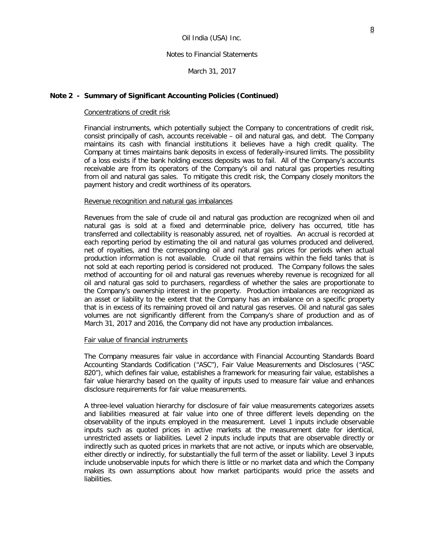March 31, 2017

## **Note 2 - Summary of Significant Accounting Policies (Continued)**

#### Concentrations of credit risk

Financial instruments, which potentially subject the Company to concentrations of credit risk, consist principally of cash, accounts receivable – oil and natural gas, and debt. The Company maintains its cash with financial institutions it believes have a high credit quality. The Company at times maintains bank deposits in excess of federally-insured limits. The possibility of a loss exists if the bank holding excess deposits was to fail. All of the Company's accounts receivable are from its operators of the Company's oil and natural gas properties resulting from oil and natural gas sales. To mitigate this credit risk, the Company closely monitors the payment history and credit worthiness of its operators.

#### Revenue recognition and natural gas imbalances

Revenues from the sale of crude oil and natural gas production are recognized when oil and natural gas is sold at a fixed and determinable price, delivery has occurred, title has transferred and collectability is reasonably assured, net of royalties. An accrual is recorded at each reporting period by estimating the oil and natural gas volumes produced and delivered, net of royalties, and the corresponding oil and natural gas prices for periods when actual production information is not available. Crude oil that remains within the field tanks that is not sold at each reporting period is considered not produced. The Company follows the sales method of accounting for oil and natural gas revenues whereby revenue is recognized for all oil and natural gas sold to purchasers, regardless of whether the sales are proportionate to the Company's ownership interest in the property. Production imbalances are recognized as an asset or liability to the extent that the Company has an imbalance on a specific property that is in excess of its remaining proved oil and natural gas reserves. Oil and natural gas sales volumes are not significantly different from the Company's share of production and as of March 31, 2017 and 2016, the Company did not have any production imbalances.

#### Fair value of financial instruments

The Company measures fair value in accordance with Financial Accounting Standards Board Accounting Standards Codification ("ASC"), Fair Value Measurements and Disclosures ("ASC 820"), which defines fair value, establishes a framework for measuring fair value, establishes a fair value hierarchy based on the quality of inputs used to measure fair value and enhances disclosure requirements for fair value measurements.

A three-level valuation hierarchy for disclosure of fair value measurements categorizes assets and liabilities measured at fair value into one of three different levels depending on the observability of the inputs employed in the measurement. Level 1 inputs include observable inputs such as quoted prices in active markets at the measurement date for identical, unrestricted assets or liabilities. Level 2 inputs include inputs that are observable directly or indirectly such as quoted prices in markets that are not active, or inputs which are observable, either directly or indirectly, for substantially the full term of the asset or liability. Level 3 inputs include unobservable inputs for which there is little or no market data and which the Company makes its own assumptions about how market participants would price the assets and liabilities.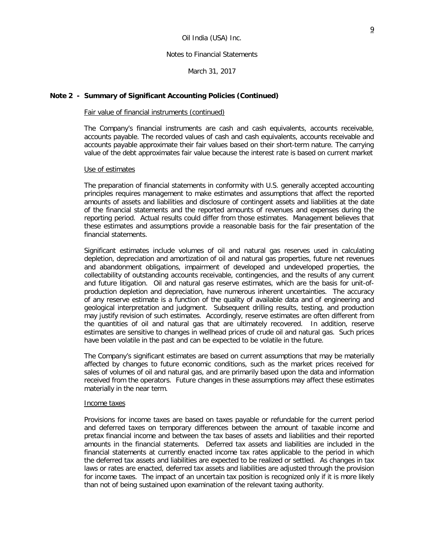March 31, 2017

## **Note 2 - Summary of Significant Accounting Policies (Continued)**

#### Fair value of financial instruments (continued)

The Company's financial instruments are cash and cash equivalents, accounts receivable, accounts payable. The recorded values of cash and cash equivalents, accounts receivable and accounts payable approximate their fair values based on their short-term nature. The carrying value of the debt approximates fair value because the interest rate is based on current market

#### Use of estimates

The preparation of financial statements in conformity with U.S. generally accepted accounting principles requires management to make estimates and assumptions that affect the reported amounts of assets and liabilities and disclosure of contingent assets and liabilities at the date of the financial statements and the reported amounts of revenues and expenses during the reporting period. Actual results could differ from those estimates. Management believes that these estimates and assumptions provide a reasonable basis for the fair presentation of the financial statements.

Significant estimates include volumes of oil and natural gas reserves used in calculating depletion, depreciation and amortization of oil and natural gas properties, future net revenues and abandonment obligations, impairment of developed and undeveloped properties, the collectability of outstanding accounts receivable, contingencies, and the results of any current and future litigation. Oil and natural gas reserve estimates, which are the basis for unit-ofproduction depletion and depreciation, have numerous inherent uncertainties. The accuracy of any reserve estimate is a function of the quality of available data and of engineering and geological interpretation and judgment. Subsequent drilling results, testing, and production may justify revision of such estimates. Accordingly, reserve estimates are often different from the quantities of oil and natural gas that are ultimately recovered. In addition, reserve estimates are sensitive to changes in wellhead prices of crude oil and natural gas. Such prices have been volatile in the past and can be expected to be volatile in the future.

The Company's significant estimates are based on current assumptions that may be materially affected by changes to future economic conditions, such as the market prices received for sales of volumes of oil and natural gas, and are primarily based upon the data and information received from the operators. Future changes in these assumptions may affect these estimates materially in the near term.

#### Income taxes

Provisions for income taxes are based on taxes payable or refundable for the current period and deferred taxes on temporary differences between the amount of taxable income and pretax financial income and between the tax bases of assets and liabilities and their reported amounts in the financial statements. Deferred tax assets and liabilities are included in the financial statements at currently enacted income tax rates applicable to the period in which the deferred tax assets and liabilities are expected to be realized or settled. As changes in tax laws or rates are enacted, deferred tax assets and liabilities are adjusted through the provision for income taxes. The impact of an uncertain tax position is recognized only if it is more likely than not of being sustained upon examination of the relevant taxing authority.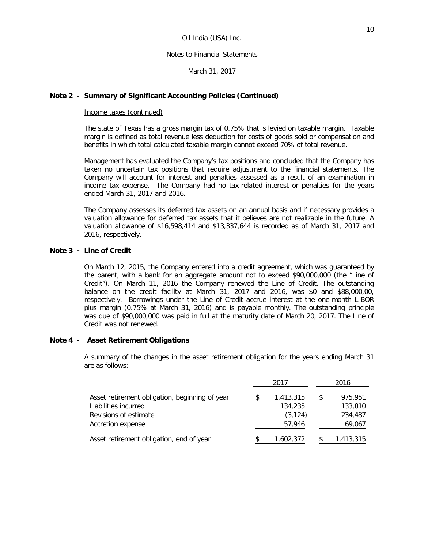### Notes to Financial Statements

March 31, 2017

## **Note 2 - Summary of Significant Accounting Policies (Continued)**

#### Income taxes (continued)

The state of Texas has a gross margin tax of 0.75% that is levied on taxable margin. Taxable margin is defined as total revenue less deduction for costs of goods sold or compensation and benefits in which total calculated taxable margin cannot exceed 70% of total revenue.

Management has evaluated the Company's tax positions and concluded that the Company has taken no uncertain tax positions that require adjustment to the financial statements. The Company will account for interest and penalties assessed as a result of an examination in income tax expense. The Company had no tax-related interest or penalties for the years ended March 31, 2017 and 2016.

The Company assesses its deferred tax assets on an annual basis and if necessary provides a valuation allowance for deferred tax assets that it believes are not realizable in the future. A valuation allowance of \$16,598,414 and \$13,337,644 is recorded as of March 31, 2017 and 2016, respectively.

## **Note 3 - Line of Credit**

On March 12, 2015, the Company entered into a credit agreement, which was guaranteed by the parent, with a bank for an aggregate amount not to exceed \$90,000,000 (the "Line of Credit"). On March 11, 2016 the Company renewed the Line of Credit. The outstanding balance on the credit facility at March 31, 2017 and 2016, was \$0 and \$88,000,00, respectively. Borrowings under the Line of Credit accrue interest at the one-month LIBOR plus margin (0.75% at March 31, 2016) and is payable monthly. The outstanding principle was due of \$90,000,000 was paid in full at the maturity date of March 20, 2017. The Line of Credit was not renewed.

## **Note 4 - Asset Retirement Obligations**

A summary of the changes in the asset retirement obligation for the years ending March 31 are as follows:

|                                                | 2017 |           | 2016 |           |  |
|------------------------------------------------|------|-----------|------|-----------|--|
| Asset retirement obligation, beginning of year |      | 1,413,315 | \$   | 975.951   |  |
| Liabilities incurred                           |      | 134,235   |      | 133,810   |  |
| Revisions of estimate                          |      | (3, 124)  |      | 234,487   |  |
| Accretion expense                              |      | 57,946    |      | 69,067    |  |
| Asset retirement obligation, end of year       |      | 1,602,372 |      | 1,413,315 |  |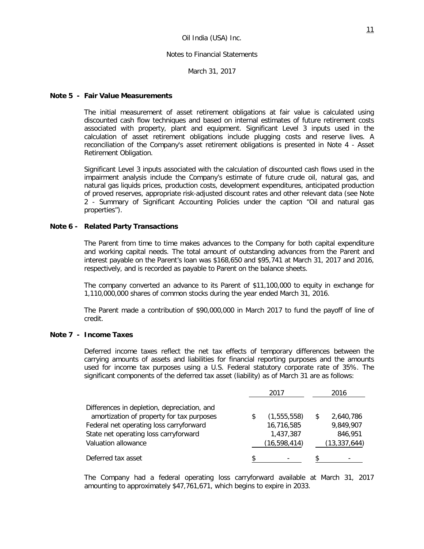March 31, 2017

## **Note 5 - Fair Value Measurements**

The initial measurement of asset retirement obligations at fair value is calculated using discounted cash flow techniques and based on internal estimates of future retirement costs associated with property, plant and equipment. Significant Level 3 inputs used in the calculation of asset retirement obligations include plugging costs and reserve lives. A reconciliation of the Company's asset retirement obligations is presented in Note 4 - Asset Retirement Obligation.

Significant Level 3 inputs associated with the calculation of discounted cash flows used in the impairment analysis include the Company's estimate of future crude oil, natural gas, and natural gas liquids prices, production costs, development expenditures, anticipated production of proved reserves, appropriate risk-adjusted discount rates and other relevant data (see Note 2 - Summary of Significant Accounting Policies under the caption "Oil and natural gas properties").

## **Note 6 - Related Party Transactions**

The Parent from time to time makes advances to the Company for both capital expenditure and working capital needs. The total amount of outstanding advances from the Parent and interest payable on the Parent's loan was \$168,650 and \$95,741 at March 31, 2017 and 2016, respectively, and is recorded as payable to Parent on the balance sheets.

The company converted an advance to its Parent of \$11,100,000 to equity in exchange for 1,110,000,000 shares of common stocks during the year ended March 31, 2016.

The Parent made a contribution of \$90,000,000 in March 2017 to fund the payoff of line of credit.

## **Note 7 - Income Taxes**

Deferred income taxes reflect the net tax effects of temporary differences between the carrying amounts of assets and liabilities for financial reporting purposes and the amounts used for income tax purposes using a U.S. Federal statutory corporate rate of 35%. The significant components of the deferred tax asset (liability) as of March 31 are as follows:

|                                             |    | 2017           |     | 2016           |
|---------------------------------------------|----|----------------|-----|----------------|
| Differences in depletion, depreciation, and |    |                |     |                |
| amortization of property for tax purposes   | S  | (1,555,558)    | S   | 2,640,786      |
| Federal net operating loss carryforward     |    | 16,716,585     |     | 9,849,907      |
| State net operating loss carryforward       |    | 1,437,387      |     | 846,951        |
| Valuation allowance                         |    | (16, 598, 414) |     | (13, 337, 644) |
| Deferred tax asset                          | \$ |                | \$. |                |

The Company had a federal operating loss carryforward available at March 31, 2017 amounting to approximately \$47,761,671, which begins to expire in 2033.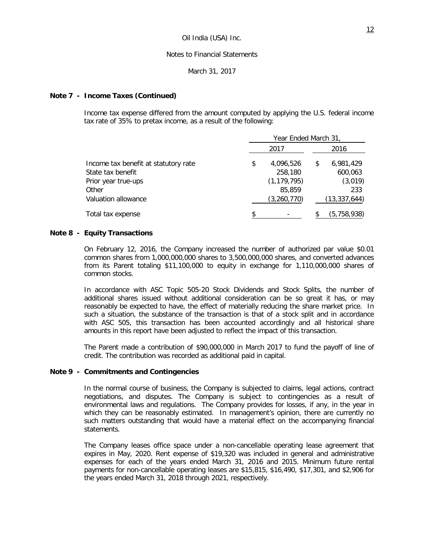March 31, 2017

## **Note 7 - Income Taxes (Continued)**

Income tax expense differed from the amount computed by applying the U.S. federal income tax rate of 35% to pretax income, as a result of the following:

|                                      | Year Ended March 31, |               |    |                |  |  |
|--------------------------------------|----------------------|---------------|----|----------------|--|--|
|                                      | 2017                 |               |    | 2016           |  |  |
| Income tax benefit at statutory rate | \$                   | 4,096,526     | \$ | 6,981,429      |  |  |
| State tax benefit                    |                      | 258,180       |    | 600,063        |  |  |
| Prior year true-ups                  |                      | (1, 179, 795) |    | (3,019)        |  |  |
| Other                                |                      | 85,859        |    | 233            |  |  |
| Valuation allowance                  |                      | (3, 260, 770) |    | (13, 337, 644) |  |  |
| Total tax expense                    | \$                   |               |    | (5,758,938)    |  |  |

#### **Note 8 - Equity Transactions**

On February 12, 2016, the Company increased the number of authorized par value \$0.01 common shares from 1,000,000,000 shares to 3,500,000,000 shares, and converted advances from its Parent totaling \$11,100,000 to equity in exchange for 1,110,000,000 shares of common stocks.

In accordance with ASC Topic 505-20 Stock Dividends and Stock Splits, the number of additional shares issued without additional consideration can be so great it has, or may reasonably be expected to have, the effect of materially reducing the share market price. In such a situation, the substance of the transaction is that of a stock split and in accordance with ASC 505, this transaction has been accounted accordingly and all historical share amounts in this report have been adjusted to reflect the impact of this transaction.

The Parent made a contribution of \$90,000,000 in March 2017 to fund the payoff of line of credit. The contribution was recorded as additional paid in capital.

## **Note 9 - Commitments and Contingencies**

In the normal course of business, the Company is subjected to claims, legal actions, contract negotiations, and disputes. The Company is subject to contingencies as a result of environmental laws and regulations. The Company provides for losses, if any, in the year in which they can be reasonably estimated. In management's opinion, there are currently no such matters outstanding that would have a material effect on the accompanying financial statements.

The Company leases office space under a non-cancellable operating lease agreement that expires in May, 2020. Rent expense of \$19,320 was included in general and administrative expenses for each of the years ended March 31, 2016 and 2015. Minimum future rental payments for non-cancellable operating leases are \$15,815, \$16,490, \$17,301, and \$2,906 for the years ended March 31, 2018 through 2021, respectively.